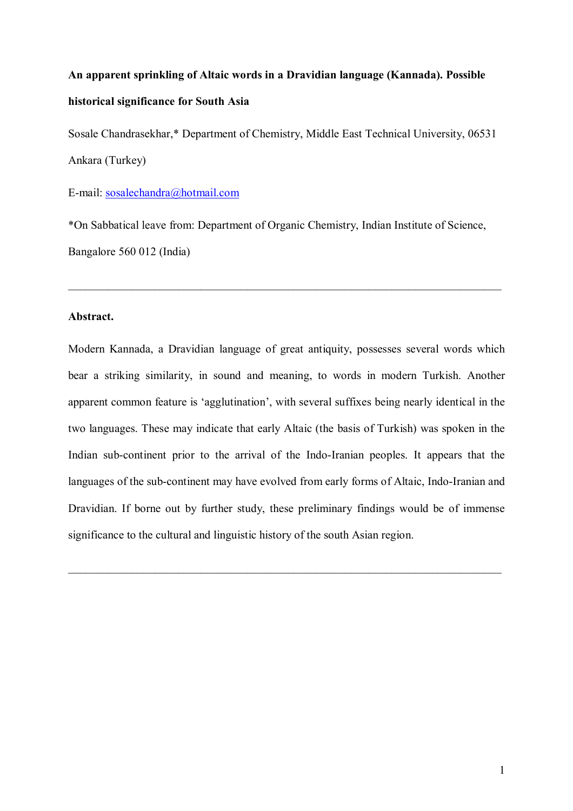# **An apparent sprinkling of Altaic words in a Dravidian language (Kannada). Possible historical significance for South Asia**

Sosale Chandrasekhar,\* Department of Chemistry, Middle East Technical University, 06531 Ankara (Turkey)

E-mail: sosalechandra@hotmail.com

\*On Sabbatical leave from: Department of Organic Chemistry, Indian Institute of Science, Bangalore 560 012 (India)

 $\_$  , and the contribution of the contribution of the contribution of the contribution of  $\mathcal{L}_\mathcal{A}$ 

#### **Abstract.**

Modern Kannada, a Dravidian language of great antiquity, possesses several words which bear a striking similarity, in sound and meaning, to words in modern Turkish. Another apparent common feature is 'agglutination', with several suffixes being nearly identical in the two languages. These may indicate that early Altaic (the basis of Turkish) was spoken in the Indian sub-continent prior to the arrival of the Indo-Iranian peoples. It appears that the languages of the sub-continent may have evolved from early forms of Altaic, Indo-Iranian and Dravidian. If borne out by further study, these preliminary findings would be of immense significance to the cultural and linguistic history of the south Asian region.

 $\_$  , and the contribution of the contribution of the contribution of the contribution of  $\mathcal{L}_\mathcal{A}$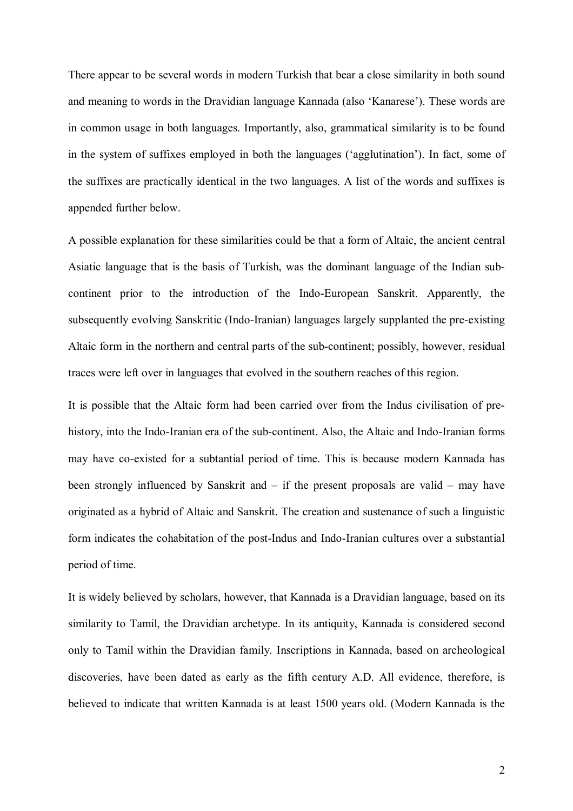There appear to be several words in modern Turkish that bear a close similarity in both sound and meaning to words in the Dravidian language Kannada (also 'Kanarese'). These words are in common usage in both languages. Importantly, also, grammatical similarity is to be found in the system of suffixes employed in both the languages ('agglutination'). In fact, some of the suffixes are practically identical in the two languages. A list of the words and suffixes is appended further below.

A possible explanation for these similarities could be that a form of Altaic, the ancient central Asiatic language that is the basis of Turkish, was the dominant language of the Indian subcontinent prior to the introduction of the Indo-European Sanskrit. Apparently, the subsequently evolving Sanskritic (Indo-Iranian) languages largely supplanted the pre-existing Altaic form in the northern and central parts of the sub-continent; possibly, however, residual traces were left over in languages that evolved in the southern reaches of this region.

It is possible that the Altaic form had been carried over from the Indus civilisation of prehistory, into the Indo-Iranian era of the sub-continent. Also, the Altaic and Indo-Iranian forms may have co-existed for a subtantial period of time. This is because modern Kannada has been strongly influenced by Sanskrit and  $-$  if the present proposals are valid  $-$  may have originated as a hybrid of Altaic and Sanskrit. The creation and sustenance of such a linguistic form indicates the cohabitation of the post-Indus and Indo-Iranian cultures over a substantial period of time.

It is widely believed by scholars, however, that Kannada is a Dravidian language, based on its similarity to Tamil, the Dravidian archetype. In its antiquity, Kannada is considered second only to Tamil within the Dravidian family. Inscriptions in Kannada, based on archeological discoveries, have been dated as early as the fifth century A.D. All evidence, therefore, is believed to indicate that written Kannada is at least 1500 years old. (Modern Kannada is the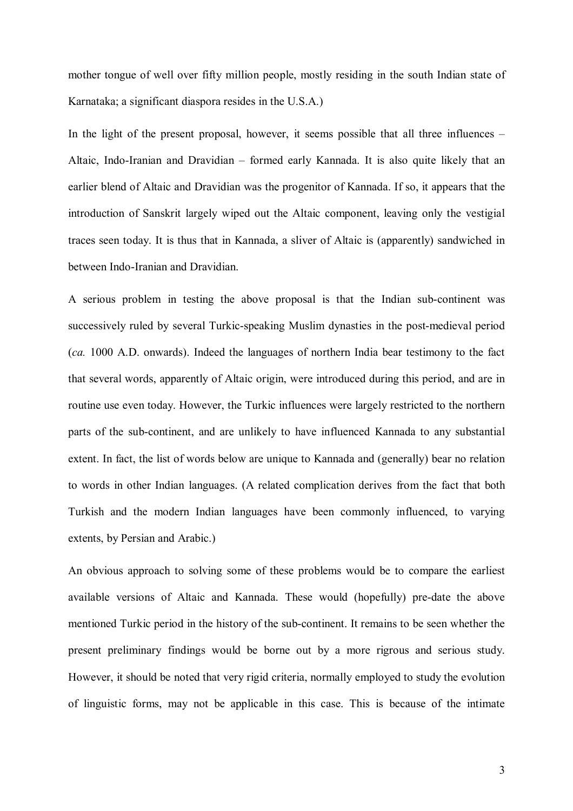mother tongue of well over fifty million people, mostly residing in the south Indian state of Karnataka; a significant diaspora resides in the U.S.A.)

In the light of the present proposal, however, it seems possible that all three influences  $-$ Altaic, Indo-Iranian and Dravidian  $-$  formed early Kannada. It is also quite likely that an earlier blend of Altaic and Dravidian was the progenitor of Kannada. If so, it appears that the introduction of Sanskrit largely wiped out the Altaic component, leaving only the vestigial traces seen today. It is thus that in Kannada, a sliver of Altaic is (apparently) sandwiched in between Indo-Iranian and Dravidian.

A serious problem in testing the above proposal is that the Indian sub-continent was successively ruled by several Turkic-speaking Muslim dynasties in the post-medieval period (*ca.* 1000 A.D. onwards). Indeed the languages of northern India bear testimony to the fact that several words, apparently of Altaic origin, were introduced during this period, and are in routine use even today. However, the Turkic influences were largely restricted to the northern parts of the sub-continent, and are unlikely to have influenced Kannada to any substantial extent. In fact, the list of words below are unique to Kannada and (generally) bear no relation to words in other Indian languages. (A related complication derives from the fact that both Turkish and the modern Indian languages have been commonly influenced, to varying extents, by Persian and Arabic.)

An obvious approach to solving some of these problems would be to compare the earliest available versions of Altaic and Kannada. These would (hopefully) pre-date the above mentioned Turkic period in the history of the sub-continent. It remains to be seen whether the present preliminary findings would be borne out by a more rigrous and serious study. However, it should be noted that very rigid criteria, normally employed to study the evolution of linguistic forms, may not be applicable in this case. This is because of the intimate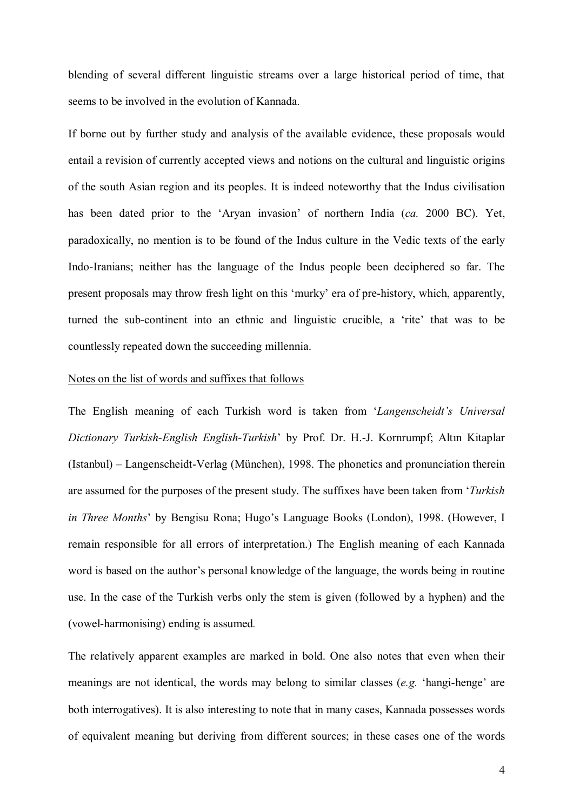blending of several different linguistic streams over a large historical period of time, that seems to be involved in the evolution of Kannada.

If borne out by further study and analysis of the available evidence, these proposals would entail a revision of currently accepted views and notions on the cultural and linguistic origins of the south Asian region and its peoples. It is indeed noteworthy that the Indus civilisation has been dated prior to the 'Aryan invasion' of northern India (*ca.* 2000 BC). Yet, paradoxically, no mention is to be found of the Indus culture in the Vedic texts of the early Indo-Iranians; neither has the language of the Indus people been deciphered so far. The present proposals may throw fresh light on this 'murky' era of pre-history, which, apparently, turned the sub-continent into an ethnic and linguistic crucible, a 'rite' that was to be countlessly repeated down the succeeding millennia.

#### Notes on the list of words and suffixes that follows

The English meaning of each Turkish word is taken from 'Langenscheidt's Universal *Dictionary Turkish-English English-Turkish*í by Prof. Dr. H.-J. Kornrumpf; Altın Kitaplar  $(Istanbul) - Langenscheidt-Verlag (München), 1998. The phonetics and pronunciation therein$ are assumed for the purposes of the present study. The suffixes have been taken from ë*Turkish in Three Months*<sup>'</sup> by Bengisu Rona; Hugo's Language Books (London), 1998. (However, I remain responsible for all errors of interpretation.) The English meaning of each Kannada word is based on the author's personal knowledge of the language, the words being in routine use. In the case of the Turkish verbs only the stem is given (followed by a hyphen) and the (vowel-harmonising) ending is assumed*.*

The relatively apparent examples are marked in bold. One also notes that even when their meanings are not identical, the words may belong to similar classes (*e.g.* 'hangi-henge' are both interrogatives). It is also interesting to note that in many cases, Kannada possesses words of equivalent meaning but deriving from different sources; in these cases one of the words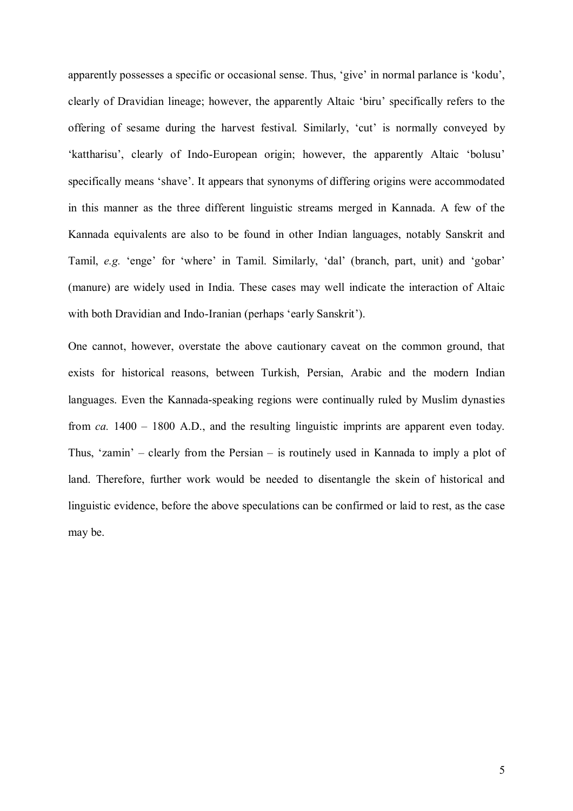apparently possesses a specific or occasional sense. Thus, 'give' in normal parlance is 'kodu', clearly of Dravidian lineage; however, the apparently Altaic 'biru' specifically refers to the offering of sesame during the harvest festival. Similarly, 'cut' is normally conveyed by 'kattharisu', clearly of Indo-European origin; however, the apparently Altaic 'bolusu' specifically means 'shave'. It appears that synonyms of differing origins were accommodated in this manner as the three different linguistic streams merged in Kannada. A few of the Kannada equivalents are also to be found in other Indian languages, notably Sanskrit and Tamil, *e.g.* 'enge' for 'where' in Tamil. Similarly, 'dal' (branch, part, unit) and 'gobar' (manure) are widely used in India. These cases may well indicate the interaction of Altaic with both Dravidian and Indo-Iranian (perhaps 'early Sanskrit').

One cannot, however, overstate the above cautionary caveat on the common ground, that exists for historical reasons, between Turkish, Persian, Arabic and the modern Indian languages. Even the Kannada-speaking regions were continually ruled by Muslim dynasties from  $ca$ . 1400 – 1800 A.D., and the resulting linguistic imprints are apparent even today. Thus, 'zamin' – clearly from the Persian – is routinely used in Kannada to imply a plot of land. Therefore, further work would be needed to disentangle the skein of historical and linguistic evidence, before the above speculations can be confirmed or laid to rest, as the case may be.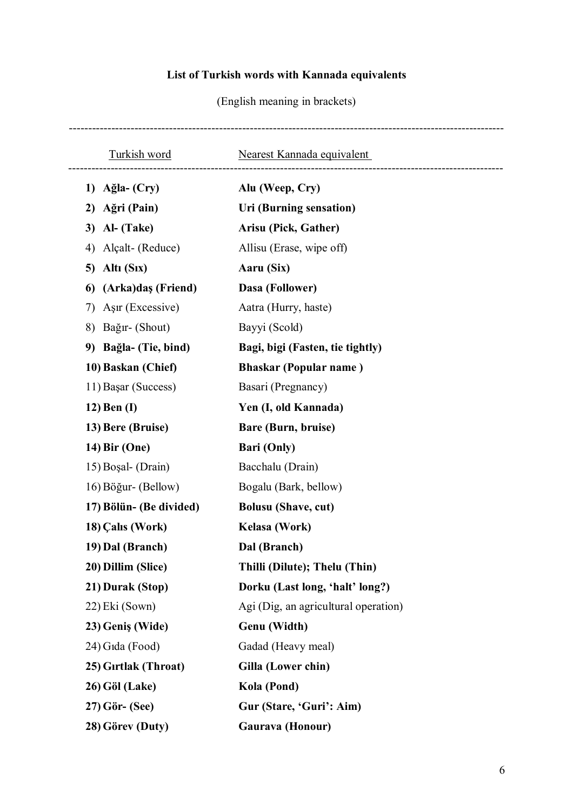## **List of Turkish words with Kannada equivalents**

(English meaning in brackets)

| <b>Turkish word</b>      | Nearest Kannada equivalent           |
|--------------------------|--------------------------------------|
| Ağla- (Cry)<br>1)        | Alu (Weep, Cry)                      |
| Ağri (Pain)<br>2)        | Uri (Burning sensation)              |
| Al- (Take)<br>3)         | Arisu (Pick, Gather)                 |
| Alçalt- (Reduce)<br>4)   | Allisu (Erase, wipe off)             |
| Altı (Six)<br>5)         | Aaru (Six)                           |
| (Arka)daş (Friend)<br>6  | Dasa (Follower)                      |
| Aşır (Excessive)<br>7)   | Aatra (Hurry, haste)                 |
| 8)<br>Bağır- (Shout)     | Bayyi (Scold)                        |
| Bağla- (Tie, bind)<br>9) | Bagi, bigi (Fasten, tie tightly)     |
| 10) Baskan (Chief)       | <b>Bhaskar (Popular name)</b>        |
| 11) Başar (Success)      | Basari (Pregnancy)                   |
| $12)$ Ben (I)            | Yen (I, old Kannada)                 |
| 13) Bere (Bruise)        | Bare (Burn, bruise)                  |
| 14) Bir (One)            | <b>Bari (Only)</b>                   |
| 15) Boşal- (Drain)       | Bacchalu (Drain)                     |
| 16) Böğur- (Bellow)      | Bogalu (Bark, bellow)                |
| 17) Bölün- (Be divided)  | <b>Bolusu</b> (Shave, cut)           |
| 18) Calis (Work)         | Kelasa (Work)                        |
| 19) Dal (Branch)         | Dal (Branch)                         |
| 20) Dillim (Slice)       | Thilli (Dilute); Thelu (Thin)        |
| 21) Durak (Stop)         | Dorku (Last long, 'halt' long?)      |
| 22) Eki (Sown)           | Agi (Dig, an agricultural operation) |
| 23) Geniş (Wide)         | Genu (Width)                         |
| 24) Gida (Food)          | Gadad (Heavy meal)                   |
| 25) Girtlak (Throat)     | Gilla (Lower chin)                   |
| 26) Göl (Lake)           | Kola (Pond)                          |
| $27)$ Gör- (See)         | Gur (Stare, 'Guri': Aim)             |
| 28) Görev (Duty)         | Gaurava (Honour)                     |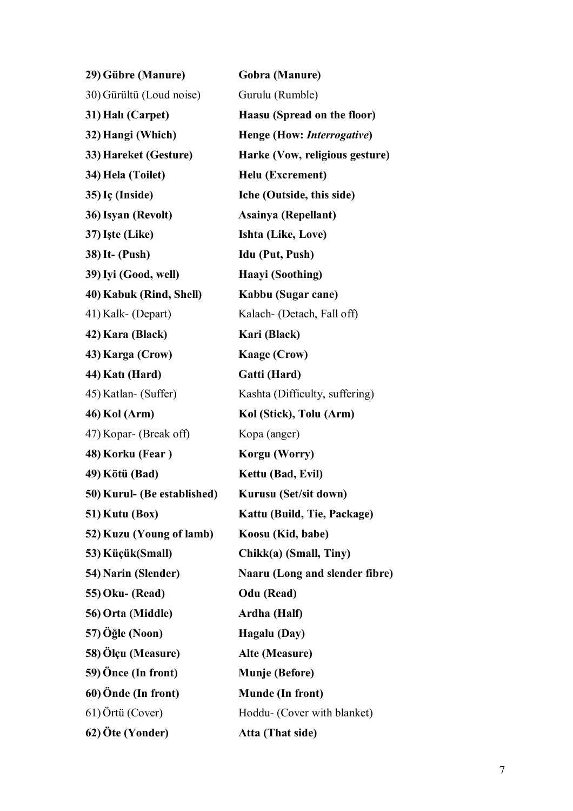| 29) Gübre (Manure)          | Gobra (Manure)                 |  |
|-----------------------------|--------------------------------|--|
| 30) Gürültü (Loud noise)    | Gurulu (Rumble)                |  |
| 31) Halı (Carpet)           | Haasu (Spread on the floor)    |  |
| 32) Hangi (Which)           | Henge (How: Interrogative)     |  |
| 33) Hareket (Gesture)       | Harke (Vow, religious gesture) |  |
| 34) Hela (Toilet)           | Helu (Excrement)               |  |
| 35) Iç (Inside)             | Iche (Outside, this side)      |  |
| 36) Isyan (Revolt)          | Asainya (Repellant)            |  |
| 37) Işte (Like)             | Ishta (Like, Love)             |  |
| <b>38)</b> It- (Push)       | <b>Idu (Put, Push)</b>         |  |
| 39) Iyi (Good, well)        | Haayi (Soothing)               |  |
| 40) Kabuk (Rind, Shell)     | Kabbu (Sugar cane)             |  |
| 41) Kalk- (Depart)          | Kalach- (Detach, Fall off)     |  |
| 42) Kara (Black)            | Kari (Black)                   |  |
| 43) Karga (Crow)            | <b>Kaage (Crow)</b>            |  |
| 44) Katı (Hard)             | Gatti (Hard)                   |  |
| 45) Katlan- (Suffer)        | Kashta (Difficulty, suffering) |  |
| 46) Kol (Arm)               | Kol (Stick), Tolu (Arm)        |  |
| 47) Kopar- (Break off)      | Kopa (anger)                   |  |
| 48) Korku (Fear)            | Korgu (Worry)                  |  |
| 49) Kötü (Bad)              | Kettu (Bad, Evil)              |  |
| 50) Kurul- (Be established) | Kurusu (Set/sit down)          |  |
| 51) Kutu (Box)              | Kattu (Build, Tie, Package)    |  |
| 52) Kuzu (Young of lamb)    | Koosu (Kid, babe)              |  |
| 53) Küçük(Small)            | Chikk(a) (Small, Tiny)         |  |
| 54) Narin (Slender)         | Naaru (Long and slender fibre) |  |
| <b>55) Oku- (Read)</b>      | Odu (Read)                     |  |
| 56) Orta (Middle)           | Ardha (Half)                   |  |
| 57) Öğle (Noon)             | Hagalu (Day)                   |  |
| 58) Ölçu (Measure)          | Alte (Measure)                 |  |
| 59) Önce (In front)         | <b>Munje (Before)</b>          |  |
| 60) Önde (In front)         | <b>Munde (In front)</b>        |  |
| 61) Örtü (Cover)            | Hoddu- (Cover with blanket)    |  |
| 62) Öte (Yonder)            | Atta (That side)               |  |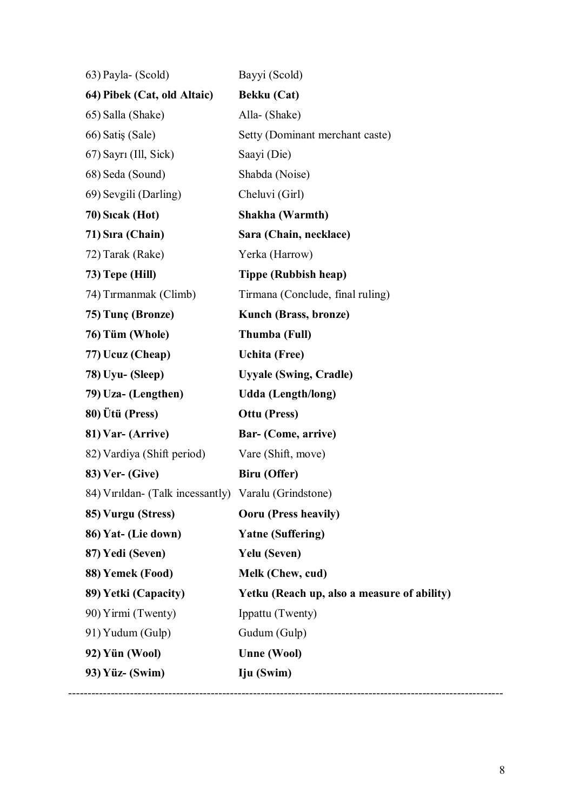| 63) Payla- (Scold)                                   | Bayyi (Scold)                               |
|------------------------------------------------------|---------------------------------------------|
| 64) Pibek (Cat, old Altaic)                          | Bekku (Cat)                                 |
| 65) Salla (Shake)                                    | Alla- (Shake)                               |
| 66) Satiş (Sale)                                     | Setty (Dominant merchant caste)             |
| 67) Sayrı (Ill, Sick)                                | Saayi (Die)                                 |
| 68) Seda (Sound)                                     | Shabda (Noise)                              |
| 69) Sevgili (Darling)                                | Cheluvi (Girl)                              |
| 70) Sicak (Hot)                                      | Shakha (Warmth)                             |
| 71) Sıra (Chain)                                     | Sara (Chain, necklace)                      |
| 72) Tarak (Rake)                                     | Yerka (Harrow)                              |
| 73) Tepe (Hill)                                      | <b>Tippe (Rubbish heap)</b>                 |
| 74) Tırmanmak (Climb)                                | Tirmana (Conclude, final ruling)            |
| 75) Tunç (Bronze)                                    | <b>Kunch (Brass, bronze)</b>                |
| 76) Tüm (Whole)                                      | Thumba (Full)                               |
| 77) Ucuz (Cheap)                                     | <b>Uchita</b> (Free)                        |
| 78) Uyu- (Sleep)                                     | <b>Uyyale (Swing, Cradle)</b>               |
| 79) Uza- (Lengthen)                                  | Udda (Length/long)                          |
| 80) Ütü (Press)                                      | <b>Ottu (Press)</b>                         |
| 81) Var- (Arrive)                                    | Bar- (Come, arrive)                         |
| 82) Vardiya (Shift period)                           | Vare (Shift, move)                          |
| <b>83)</b> Ver- (Give)                               | <b>Biru</b> (Offer)                         |
| 84) Vırıldan- (Talk incessantly) Varalu (Grindstone) |                                             |
| 85) Vurgu (Stress)                                   | <b>Ooru</b> (Press heavily)                 |
| 86) Yat- (Lie down)                                  | <b>Yatne (Suffering)</b>                    |
| 87) Yedi (Seven)                                     | Yelu (Seven)                                |
| 88) Yemek (Food)                                     | Melk (Chew, cud)                            |
| 89) Yetki (Capacity)                                 | Yetku (Reach up, also a measure of ability) |
| 90) Yirmi (Twenty)                                   | Ippattu (Twenty)                            |
| 91) Yudum (Gulp)                                     | Gudum (Gulp)                                |
| 92) Yün (Wool)                                       | <b>Unne (Wool)</b>                          |
| 93) Yüz- (Swim)                                      | Iju (Swim)                                  |
|                                                      |                                             |